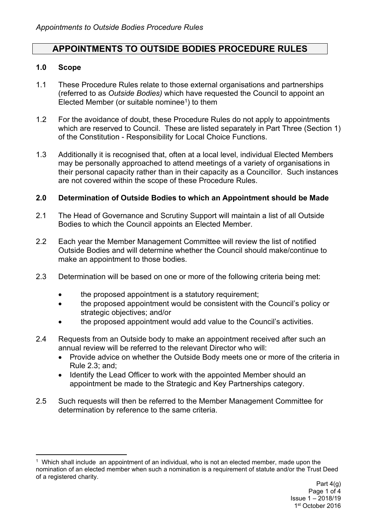# **APPOINTMENTS TO OUTSIDE BODIES PROCEDURE RULES**

#### **1.0 Scope**

- 1.1 These Procedure Rules relate to those external organisations and partnerships (referred to as *Outside Bodies)* which have requested the Council to appoint an Elected Member (or suitable nominee<sup>1</sup>) to them
- 1.2 For the avoidance of doubt, these Procedure Rules do not apply to appointments which are reserved to Council. These are listed separately in Part Three (Section 1) of the Constitution - Responsibility for Local Choice Functions.
- 1.3 Additionally it is recognised that, often at a local level, individual Elected Members may be personally approached to attend meetings of a variety of organisations in their personal capacity rather than in their capacity as a Councillor. Such instances are not covered within the scope of these Procedure Rules.

#### **2.0 Determination of Outside Bodies to which an Appointment should be Made**

- 2.1 The Head of Governance and Scrutiny Support will maintain a list of all Outside Bodies to which the Council appoints an Elected Member.
- 2.2 Each year the Member Management Committee will review the list of notified Outside Bodies and will determine whether the Council should make/continue to make an appointment to those bodies.
- 2.3 Determination will be based on one or more of the following criteria being met:
	- the proposed appointment is a statutory requirement;
	- the proposed appointment would be consistent with the Council's policy or strategic objectives; and/or
	- the proposed appointment would add value to the Council's activities.
- 2.4 Requests from an Outside body to make an appointment received after such an annual review will be referred to the relevant Director who will:
	- Provide advice on whether the Outside Body meets one or more of the criteria in Rule 2.3; and;
	- Identify the Lead Officer to work with the appointed Member should an appointment be made to the Strategic and Key Partnerships category.
- 2.5 Such requests will then be referred to the Member Management Committee for determination by reference to the same criteria.

<sup>1</sup> Which shall include an appointment of an individual, who is not an elected member, made upon the nomination of an elected member when such a nomination is a requirement of statute and/or the Trust Deed of a registered charity.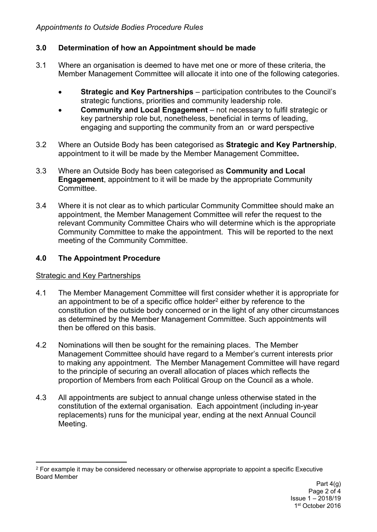# **3.0 Determination of how an Appointment should be made**

- 3.1 Where an organisation is deemed to have met one or more of these criteria, the Member Management Committee will allocate it into one of the following categories.
	- **Strategic and Key Partnerships** participation contributes to the Council's strategic functions, priorities and community leadership role.
	- **Community and Local Engagement** not necessary to fulfil strategic or key partnership role but, nonetheless, beneficial in terms of leading, engaging and supporting the community from an or ward perspective
- 3.2 Where an Outside Body has been categorised as **Strategic and Key Partnership**, appointment to it will be made by the Member Management Committee**.**
- 3.3 Where an Outside Body has been categorised as **Community and Local Engagement**, appointment to it will be made by the appropriate Community **Committee.**
- 3.4 Where it is not clear as to which particular Community Committee should make an appointment, the Member Management Committee will refer the request to the relevant Community Committee Chairs who will determine which is the appropriate Community Committee to make the appointment. This will be reported to the next meeting of the Community Committee.

# **4.0 The Appointment Procedure**

# Strategic and Key Partnerships

- 4.1 The Member Management Committee will first consider whether it is appropriate for an appointment to be of a specific office holder<sup>2</sup> either by reference to the constitution of the outside body concerned or in the light of any other circumstances as determined by the Member Management Committee. Such appointments will then be offered on this basis.
- 4.2 Nominations will then be sought for the remaining places. The Member Management Committee should have regard to a Member's current interests prior to making any appointment. The Member Management Committee will have regard to the principle of securing an overall allocation of places which reflects the proportion of Members from each Political Group on the Council as a whole.
- 4.3 All appointments are subject to annual change unless otherwise stated in the constitution of the external organisation. Each appointment (including in-year replacements) runs for the municipal year, ending at the next Annual Council Meeting.

<sup>2</sup> For example it may be considered necessary or otherwise appropriate to appoint a specific Executive Board Member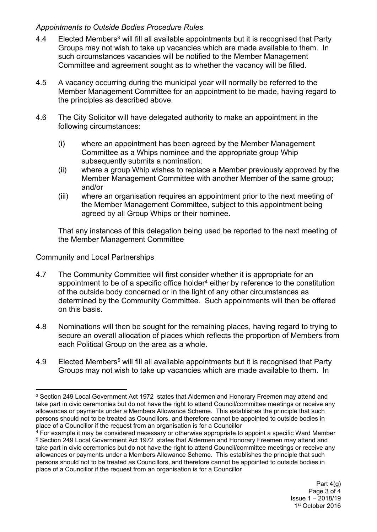# *Appointments to Outside Bodies Procedure Rules*

- 4.4 Elected Members<sup>3</sup> will fill all available appointments but it is recognised that Party Groups may not wish to take up vacancies which are made available to them. In such circumstances vacancies will be notified to the Member Management Committee and agreement sought as to whether the vacancy will be filled.
- 4.5 A vacancy occurring during the municipal year will normally be referred to the Member Management Committee for an appointment to be made, having regard to the principles as described above.
- 4.6 The City Solicitor will have delegated authority to make an appointment in the following circumstances:
	- (i) where an appointment has been agreed by the Member Management Committee as a Whips nominee and the appropriate group Whip subsequently submits a nomination;
	- (ii) where a group Whip wishes to replace a Member previously approved by the Member Management Committee with another Member of the same group; and/or
	- (iii) where an organisation requires an appointment prior to the next meeting of the Member Management Committee, subject to this appointment being agreed by all Group Whips or their nominee.

That any instances of this delegation being used be reported to the next meeting of the Member Management Committee

### Community and Local Partnerships

- 4.7 The Community Committee will first consider whether it is appropriate for an appointment to be of a specific office holder<sup>4</sup> either by reference to the constitution of the outside body concerned or in the light of any other circumstances as determined by the Community Committee. Such appointments will then be offered on this basis.
- 4.8 Nominations will then be sought for the remaining places, having regard to trying to secure an overall allocation of places which reflects the proportion of Members from each Political Group on the area as a whole.
- 4.9 Elected Members<sup>5</sup> will fill all available appointments but it is recognised that Party Groups may not wish to take up vacancies which are made available to them. In

<sup>&</sup>lt;sup>3</sup> Section 249 Local Government Act 1972 states that Aldermen and Honorary Freemen may attend and take part in civic ceremonies but do not have the right to attend Council/committee meetings or receive any allowances or payments under a Members Allowance Scheme. This establishes the principle that such persons should not to be treated as Councillors, and therefore cannot be appointed to outside bodies in place of a Councillor if the request from an organisation is for a Councillor

<sup>&</sup>lt;sup>4</sup> For example it may be considered necessary or otherwise appropriate to appoint a specific Ward Member <sup>5</sup> Section 249 Local Government Act 1972 states that Aldermen and Honorary Freemen may attend and take part in civic ceremonies but do not have the right to attend Council/committee meetings or receive any allowances or payments under a Members Allowance Scheme. This establishes the principle that such persons should not to be treated as Councillors, and therefore cannot be appointed to outside bodies in place of a Councillor if the request from an organisation is for a Councillor